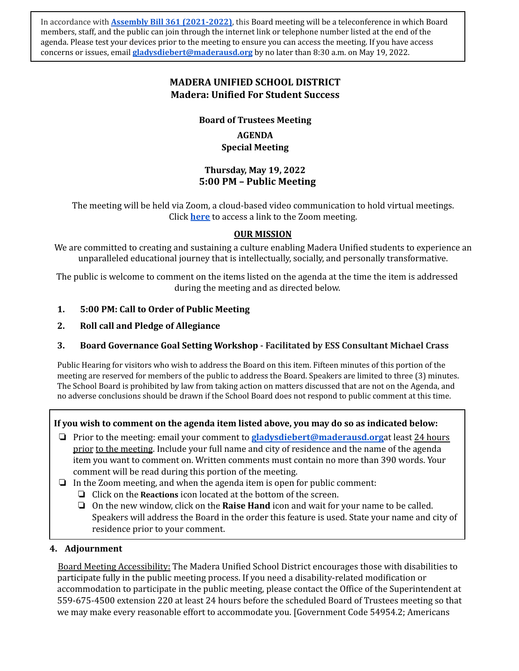In accordance with **Assembly Bill 361 [\(2021-2022\)](https://leginfo.legislature.ca.gov/faces/billNavClient.xhtml?bill_id=202120220AB361)**, this Board meeting will be a teleconference in which Board members, staff, and the public can join through the internet link or telephone number listed at the end of the agenda. Please test your devices prior to the meeting to ensure you can access the meeting. If you have access concerns or issues, email **[gladysdiebert@maderausd.org](mailto:mariaelizondo@maderausd.org)** by no later than 8:30 a.m. on May 19, 2022.

# **MADERA UNIFIED SCHOOL DISTRICT Madera: Unified For Student Success**

**Board of Trustees Meeting**

**AGENDA Special Meeting**

## **Thursday, May 19, 2022 5:00 PM – Public Meeting**

The meeting will be held via Zoom, a cloud-based video communication to hold virtual meetings. Click **[here](https://zoom.us/j/95275950136)** to access a link to the Zoom meeting.

#### **OUR MISSION**

We are committed to creating and sustaining a culture enabling Madera Unified students to experience an unparalleled educational journey that is intellectually, socially, and personally transformative.

The public is welcome to comment on the items listed on the agenda at the time the item is addressed during the meeting and as directed below.

## **1. 5:00 PM: Call to Order of Public Meeting**

**2. Roll call and Pledge of Allegiance**

## **3. Board Governance Goal Setting Workshop - Facilitated by ESS Consultant Michael Crass**

Public Hearing for visitors who wish to address the Board on this item. Fifteen minutes of this portion of the meeting are reserved for members of the public to address the Board. Speakers are limited to three (3) minutes. The School Board is prohibited by law from taking action on matters discussed that are not on the Agenda, and no adverse conclusions should be drawn if the School Board does not respond to public comment at this time.

## **If you wish to comment on the agenda item listed above, you may do so as indicated below:**

- ❏ Prior to the meeting: email your comment to **[gladysdiebert@maderausd.org](mailto:mariaelizondo@maderausd.org)**at least 24 hours prior to the meeting. Include your full name and city of residence and the name of the agenda item you want to comment on. Written comments must contain no more than 390 words. Your comment will be read during this portion of the meeting.
- ❏ In the Zoom meeting, and when the agenda item is open for public comment:
	- ❏ Click on the **Reactions** icon located at the bottom of the screen.
	- ❏ On the new window, click on the **Raise Hand** icon and wait for your name to be called. Speakers will address the Board in the order this feature is used. State your name and city of residence prior to your comment.

#### **4. Adjournment**

Board Meeting Accessibility: The Madera Unified School District encourages those with disabilities to participate fully in the public meeting process. If you need a disability-related modification or accommodation to participate in the public meeting, please contact the Office of the Superintendent at 559-675-4500 extension 220 at least 24 hours before the scheduled Board of Trustees meeting so that we may make every reasonable effort to accommodate you. [Government Code 54954.2; Americans